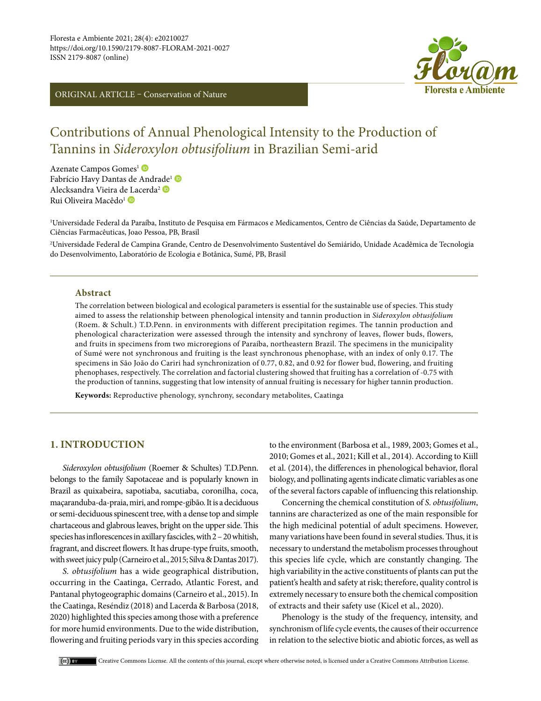ORIGINAL ARTICLE – Conservation of Nature



# Contributions of Annual Phenological Intensity to the Production of Tannins in *Sideroxylon obtusifolium* in Brazilian Semi-arid

Azenate Campos Gomes<sup>1</sup> Fabrício Havy Dantas [de](https://orcid.org/0000-0002-9703-3997) Andrade<sup>1</sup> Alecksandra Vieira d[e La](https://orcid.org/0000-0003-2942-9284)cerda2 Rui Oliveira Macêdo<sup>1</sup> D

1 Universidade Federal da Paraíba, Instituto de Pesquisa em Fármacos e Medicamentos, Centro de Ciências da Saúde, Departamento de Ciências Farmacêuticas, Joao Pessoa, PB, Brasil

2 Universidade Federal de Campina Grande, Centro de Desenvolvimento Sustentável do Semiárido, Unidade Acadêmica de Tecnologia do Desenvolvimento, Laboratório de Ecologia e Botânica, Sumé, PB, Brasil

## **Abstract**

The correlation between biological and ecological parameters is essential for the sustainable use of species. This study aimed to assess the relationship between phenological intensity and tannin production in *Sideroxylon obtusifolium* (Roem. & Schult.) T.D.Penn. in environments with different precipitation regimes. The tannin production and phenological characterization were assessed through the intensity and synchrony of leaves, flower buds, flowers, and fruits in specimens from two microregions of Paraíba, northeastern Brazil. The specimens in the municipality of Sumé were not synchronous and fruiting is the least synchronous phenophase, with an index of only 0.17. The specimens in São João do Cariri had synchronization of 0.77, 0.82, and 0.92 for flower bud, flowering, and fruiting phenophases, respectively. The correlation and factorial clustering showed that fruiting has a correlation of -0.75 with the production of tannins, suggesting that low intensity of annual fruiting is necessary for higher tannin production.

**Keywords:** Reproductive phenology, synchrony, secondary metabolites, Caatinga

## **1. INTRODUCTION**

*Sideroxylon obtusifolium* (Roemer & Schultes) T.D.Penn. belongs to the family Sapotaceae and is popularly known in Brazil as quixabeira, sapotiaba, sacutiaba, coronilha, coca, maçaranduba-da-praia, miri, and rompe-gibão. It is a deciduous or semi-deciduous spinescent tree, with a dense top and simple chartaceous and glabrous leaves, bright on the upper side. This species has inflorescences in axillary fascicles, with 2 – 20 whitish, fragrant, and discreet flowers. It has drupe-type fruits, smooth, with sweet juicy pulp (Carneiro et al., 2015; Silva & Dantas 2017).

*S. obtusifolium* has a wide geographical distribution, occurring in the Caatinga, Cerrado, Atlantic Forest, and Pantanal phytogeographic domains (Carneiro et al., 2015). In the Caatinga, Reséndiz (2018) and Lacerda & Barbosa (2018, 2020) highlighted this species among those with a preference for more humid environments. Due to the wide distribution, flowering and fruiting periods vary in this species according to the environment (Barbosa et al., 1989, 2003; Gomes et al., 2010; Gomes et al., 2021; Kill et al., 2014). According to Kiill et al. (2014), the differences in phenological behavior, floral biology, and pollinating agents indicate climatic variables as one of the several factors capable of influencing this relationship.

Concerning the chemical constitution of *S. obtusifolium*, tannins are characterized as one of the main responsible for the high medicinal potential of adult specimens. However, many variations have been found in several studies. Thus, it is necessary to understand the metabolism processes throughout this species life cycle, which are constantly changing. The high variability in the active constituents of plants can put the patient's health and safety at risk; therefore, quality control is extremely necessary to ensure both the chemical composition of extracts and their safety use (Kicel et al., 2020).

Phenology is the study of the frequency, intensity, and synchronism of life cycle events, the causes of their occurrence in relation to the selective biotic and abiotic forces, as well as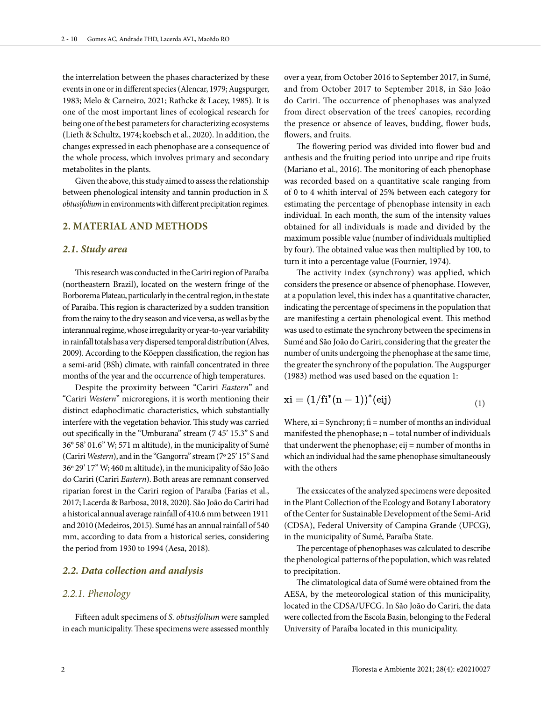the interrelation between the phases characterized by these events in one or in different species (Alencar, 1979; Augspurger, 1983; Melo & Carneiro, 2021; Rathcke & Lacey, 1985). It is one of the most important lines of ecological research for being one of the best parameters for characterizing ecosystems (Lieth & Schultz, 1974; koebsch et al., 2020). In addition, the changes expressed in each phenophase are a consequence of the whole process, which involves primary and secondary metabolites in the plants.

Given the above, this study aimed to assess the relationship between phenological intensity and tannin production in *S. obtusifolium* in environments with different precipitation regimes.

# **2. MATERIAL AND METHODS**

#### *2.1. Study area*

This research was conducted in the Cariri region of Paraíba (northeastern Brazil), located on the western fringe of the Borborema Plateau, particularly in the central region, in the state of Paraíba. This region is characterized by a sudden transition from the rainy to the dry season and vice versa, as well as by the interannual regime, whose irregularity or year-to-year variability in rainfall totals has a very dispersed temporal distribution (Alves, 2009). According to the Köeppen classification, the region has a semi-arid (BSh) climate, with rainfall concentrated in three months of the year and the occurrence of high temperatures.

Despite the proximity between "Cariri *Eastern*" and "Cariri *Western*" microregions, it is worth mentioning their distinct edaphoclimatic characteristics, which substantially interfere with the vegetation behavior. This study was carried out specifically in the "Umburana" stream (7 45' 15.3'' S and 36° 58' 01.6'' W; 571 m altitude), in the municipality of Sumé (Cariri *Western*), and in the "Gangorra" stream (7º 25' 15'' S and 36º 29' 17'' W; 460 m altitude), in the municipality of São João do Cariri (Cariri *Eastern*). Both areas are remnant conserved riparian forest in the Cariri region of Paraíba (Farias et al., 2017; Lacerda & Barbosa, 2018, 2020). São João do Cariri had a historical annual average rainfall of 410.6 mm between 1911 and 2010 (Medeiros, 2015). Sumé has an annual rainfall of 540 mm, according to data from a historical series, considering the period from 1930 to 1994 (Aesa, 2018).

## *2.2. Data collection and analysis*

## *2.2.1. Phenology*

Fifteen adult specimens of *S. obtusifolium* were sampled in each municipality. These specimens were assessed monthly

over a year, from October 2016 to September 2017, in Sumé, and from October 2017 to September 2018, in São João do Cariri. The occurrence of phenophases was analyzed from direct observation of the trees' canopies, recording the presence or absence of leaves, budding, flower buds, flowers, and fruits.

The flowering period was divided into flower bud and anthesis and the fruiting period into unripe and ripe fruits (Mariano et al., 2016). The monitoring of each phenophase was recorded based on a quantitative scale ranging from of 0 to 4 whith interval of 25% between each category for estimating the percentage of phenophase intensity in each individual. In each month, the sum of the intensity values obtained for all individuals is made and divided by the maximum possible value (number of individuals multiplied by four). The obtained value was then multiplied by 100, to turn it into a percentage value (Fournier, 1974).

The activity index (synchrony) was applied, which considers the presence or absence of phenophase. However, at a population level, this index has a quantitative character, indicating the percentage of specimens in the population that are manifesting a certain phenological event. This method was used to estimate the synchrony between the specimens in Sumé and São João do Cariri, considering that the greater the number of units undergoing the phenophase at the same time, the greater the synchrony of the population. The Augspurger (1983) method was used based on the equation 1:

$$
xi = (1/fi^{*}(n-1))^{*}(eij)
$$
\n(1)

Where,  $xi =$  Synchrony;  $fi =$  number of months an individual manifested the phenophase;  $n =$  total number of individuals that underwent the phenophase; eij = number of months in which an individual had the same phenophase simultaneously with the others

The exsiccates of the analyzed specimens were deposited in the Plant Collection of the Ecology and Botany Laboratory of the Center for Sustainable Development of the Semi-Arid (CDSA), Federal University of Campina Grande (UFCG), in the municipality of Sumé, Paraíba State.

The percentage of phenophases was calculated to describe the phenological patterns of the population, which was related to precipitation.

The climatological data of Sumé were obtained from the AESA, by the meteorological station of this municipality, located in the CDSA/UFCG. In São João do Cariri, the data were collected from the Escola Basin, belonging to the Federal University of Paraíba located in this municipality.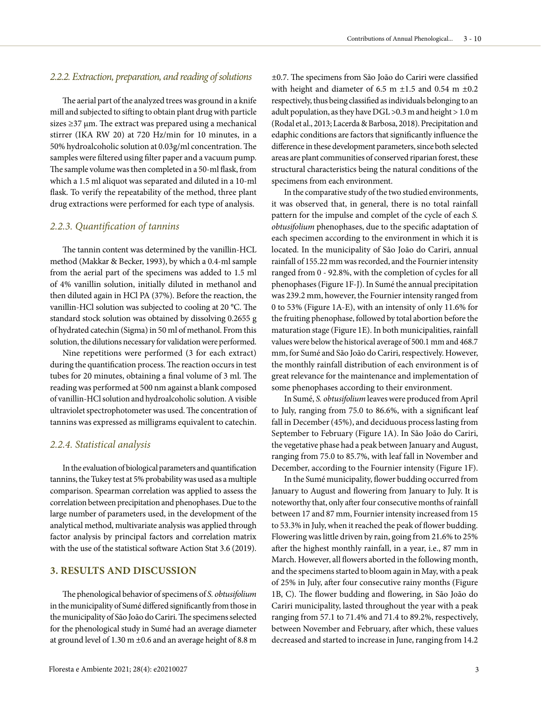## *2.2.2. Extraction, preparation, and reading of solutions*

The aerial part of the analyzed trees was ground in a knife mill and subjected to sifting to obtain plant drug with particle sizes ≥37 µm. The extract was prepared using a mechanical stirrer (IKA RW 20) at 720 Hz/min for 10 minutes, in a 50% hydroalcoholic solution at 0.03g/ml concentration. The samples were filtered using filter paper and a vacuum pump. The sample volume was then completed in a 50-ml flask, from which a 1.5 ml aliquot was separated and diluted in a 10-ml flask. To verify the repeatability of the method, three plant drug extractions were performed for each type of analysis.

## *2.2.3. Quantification of tannins*

The tannin content was determined by the vanillin-HCL method (Makkar & Becker, 1993), by which a 0.4-ml sample from the aerial part of the specimens was added to 1.5 ml of 4% vanillin solution, initially diluted in methanol and then diluted again in HCl PA (37%). Before the reaction, the vanillin-HCl solution was subjected to cooling at 20 °C. The standard stock solution was obtained by dissolving 0.2655 g of hydrated catechin (Sigma) in 50 ml of methanol. From this solution, the dilutions necessary for validation were performed.

Nine repetitions were performed (3 for each extract) during the quantification process. The reaction occurs in test tubes for 20 minutes, obtaining a final volume of 3 ml. The reading was performed at 500 nm against a blank composed of vanillin-HCl solution and hydroalcoholic solution. A visible ultraviolet spectrophotometer was used. The concentration of tannins was expressed as milligrams equivalent to catechin.

#### *2.2.4. Statistical analysis*

In the evaluation of biological parameters and quantification tannins, the Tukey test at 5% probability was used as a multiple comparison. Spearman correlation was applied to assess the correlation between precipitation and phenophases. Due to the large number of parameters used, in the development of the analytical method, multivariate analysis was applied through factor analysis by principal factors and correlation matrix with the use of the statistical software Action Stat 3.6 (2019).

# **3. RESULTS AND DISCUSSION**

The phenological behavior of specimens of *S. obtusifolium* in the municipality of Sumé differed significantly from those in the municipality of São João do Cariri. The specimens selected for the phenological study in Sumé had an average diameter at ground level of 1.30 m ±0.6 and an average height of 8.8 m ±0.7. The specimens from São João do Cariri were classified with height and diameter of 6.5 m  $\pm$ 1.5 and 0.54 m  $\pm$ 0.2 respectively, thus being classified as individuals belonging to an adult population, as they have DGL >0.3 m and height > 1.0 m (Rodal et al., 2013; Lacerda & Barbosa, 2018). Precipitation and edaphic conditions are factors that significantly influence the difference in these development parameters, since both selected areas are plant communities of conserved riparian forest, these structural characteristics being the natural conditions of the specimens from each environment.

In the comparative study of the two studied environments, it was observed that, in general, there is no total rainfall pattern for the impulse and complet of the cycle of each *S. obtusifolium* phenophases, due to the specific adaptation of each specimen according to the environment in which it is located. In the municipality of São João do Cariri, annual rainfall of 155.22 mm was recorded, and the Fournier intensity ranged from 0 - 92.8%, with the completion of cycles for all phenophases (Figure 1F-J). In Sumé the annual precipitation was 239.2 mm, however, the Fournier intensity ranged from 0 to 53% (Figure 1A-E), with an intensity of only 11.6% for the fruiting phenophase, followed by total abortion before the maturation stage (Figure 1E). In both municipalities, rainfall values were below the historical average of 500.1 mm and 468.7 mm, for Sumé and São João do Cariri, respectively. However, the monthly rainfall distribution of each environment is of great relevance for the maintenance and implementation of some phenophases according to their environment.

In Sumé, *S. obtusifolium* leaves were produced from April to July, ranging from 75.0 to 86.6%, with a significant leaf fall in December (45%), and deciduous process lasting from September to February (Figure 1A). In São João do Cariri, the vegetative phase had a peak between January and August, ranging from 75.0 to 85.7%, with leaf fall in November and December, according to the Fournier intensity (Figure 1F).

In the Sumé municipality, flower budding occurred from January to August and flowering from January to July. It is noteworthy that, only after four consecutive months of rainfall between 17 and 87 mm, Fournier intensity increased from 15 to 53.3% in July, when it reached the peak of flower budding. Flowering was little driven by rain, going from 21.6% to 25% after the highest monthly rainfall, in a year, i.e., 87 mm in March. However, all flowers aborted in the following month, and the specimens started to bloom again in May, with a peak of 25% in July, after four consecutive rainy months (Figure 1B, C). The flower budding and flowering, in São João do Cariri municipality, lasted throughout the year with a peak ranging from 57.1 to 71.4% and 71.4 to 89.2%, respectively, between November and February, after which, these values decreased and started to increase in June, ranging from 14.2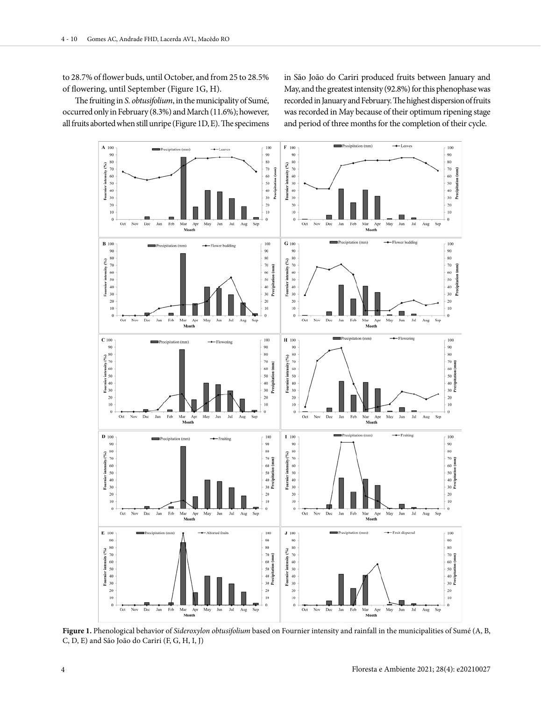to 28.7% of flower buds, until October, and from 25 to 28.5% of flowering, until September (Figure 1G, H).

The fruiting in *S. obtusifolium*, in the municipality of Sumé, occurred only in February (8.3%) and March (11.6%); however, all fruits aborted when still unripe (Figure 1D, E). The specimens in São João do Cariri produced fruits between January and May, and the greatest intensity (92.8%) for this phenophase was recorded in January and February. The highest dispersion of fruits was recorded in May because of their optimum ripening stage and period of three months for the completion of their cycle.



**Figure 1.** Phenological behavior of *Sideroxylon obtusifolium* based on Fournier intensity and rainfall in the municipalities of Sumé (A, B, C, D, E) and São João do Cariri (F, G, H, I, J)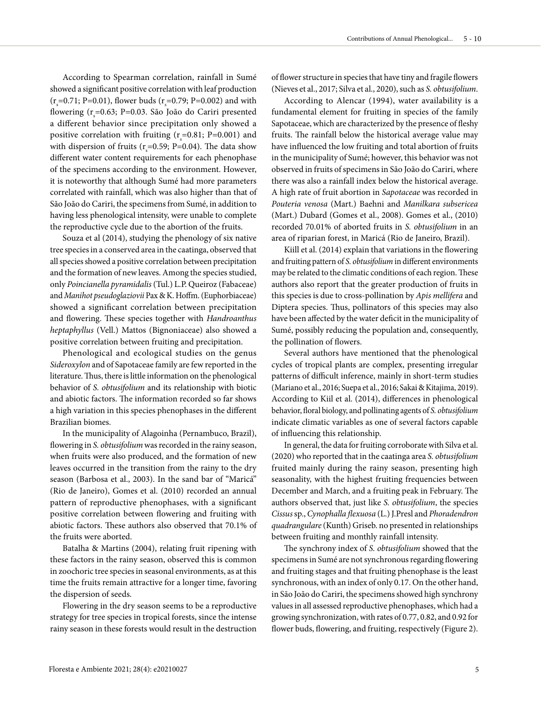According to Spearman correlation, rainfall in Sumé showed a significant positive correlation with leaf production  $(r_s = 0.71; P = 0.01)$ , flower buds  $(r_s = 0.79; P = 0.002)$  and with flowering (r = 0.63; P=0.03. São João do Cariri presented a different behavior since precipitation only showed a positive correlation with fruiting  $(r_s=0.81; P=0.001)$  and with dispersion of fruits ( $r_s$ =0.59; P=0.04). The data show different water content requirements for each phenophase of the specimens according to the environment. However, it is noteworthy that although Sumé had more parameters correlated with rainfall, which was also higher than that of São João do Cariri, the specimens from Sumé, in addition to having less phenological intensity, were unable to complete the reproductive cycle due to the abortion of the fruits.

Souza et al (2014), studying the phenology of six native tree species in a conserved area in the caatinga, observed that all species showed a positive correlation between precipitation and the formation of new leaves. Among the species studied, only *Poincianella pyramidalis* (Tul.) L.P. Queiroz (Fabaceae) and *Manihot pseudoglaziovii* Pax & K. Hoffm. (Euphorbiaceae) showed a significant correlation between precipitation and flowering. These species together with *Handroanthus heptaphyllus* (Vell.) Mattos (Bignoniaceae) also showed a positive correlation between fruiting and precipitation.

Phenological and ecological studies on the genus *Sideroxylon* and of Sapotaceae family are few reported in the literature. Thus, there is little information on the phenological behavior of *S. obtusifolium* and its relationship with biotic and abiotic factors. The information recorded so far shows a high variation in this species phenophases in the different Brazilian biomes.

In the municipality of Alagoinha (Pernambuco, Brazil), flowering in *S. obtusifolium* was recorded in the rainy season, when fruits were also produced, and the formation of new leaves occurred in the transition from the rainy to the dry season (Barbosa et al., 2003). In the sand bar of "Maricá" (Rio de Janeiro), Gomes et al. (2010) recorded an annual pattern of reproductive phenophases, with a significant positive correlation between flowering and fruiting with abiotic factors. These authors also observed that 70.1% of the fruits were aborted.

Batalha & Martins (2004), relating fruit ripening with these factors in the rainy season, observed this is common in zoochoric tree species in seasonal environments, as at this time the fruits remain attractive for a longer time, favoring the dispersion of seeds.

Flowering in the dry season seems to be a reproductive strategy for tree species in tropical forests, since the intense rainy season in these forests would result in the destruction

of flower structure in species that have tiny and fragile flowers (Nieves et al., 2017; Silva et al., 2020), such as *S. obtusifolium*.

According to Alencar (1994), water availability is a fundamental element for fruiting in species of the family Sapotaceae, which are characterized by the presence of fleshy fruits. The rainfall below the historical average value may have influenced the low fruiting and total abortion of fruits in the municipality of Sumé; however, this behavior was not observed in fruits of specimens in São João do Cariri, where there was also a rainfall index below the historical average. A high rate of fruit abortion in *Sapotaceae* was recorded in *Pouteria venosa* (Mart.) Baehni and *Manilkara subsericea* (Mart.) Dubard (Gomes et al., 2008). Gomes et al., (2010) recorded 70.01% of aborted fruits in *S. obtusifolium* in an area of riparian forest, in Maricá (Rio de Janeiro, Brazil).

Kiill et al. (2014) explain that variations in the flowering and fruiting pattern of *S. obtusifolium* in different environments may be related to the climatic conditions of each region. These authors also report that the greater production of fruits in this species is due to cross-pollination by *Apis mellifera* and Diptera species. Thus, pollinators of this species may also have been affected by the water deficit in the municipality of Sumé, possibly reducing the population and, consequently, the pollination of flowers.

Several authors have mentioned that the phenological cycles of tropical plants are complex, presenting irregular patterns of difficult inference, mainly in short-term studies (Mariano et al., 2016; Suepa et al., 2016; Sakai & Kitajima, 2019). According to Kiil et al. (2014), differences in phenological behavior, floral biology, and pollinating agents of *S. obtusifolium* indicate climatic variables as one of several factors capable of influencing this relationship.

In general, the data for fruiting corroborate with Silva et al. (2020) who reported that in the caatinga area *S. obtusifolium* fruited mainly during the rainy season, presenting high seasonality, with the highest fruiting frequencies between December and March, and a fruiting peak in February. The authors observed that, just like *S. obtusifolium*, the species *Cissus* sp., *Cynophalla flexuosa* (L.) J.Presl and *Phoradendron quadrangulare* (Kunth) Griseb. no presented in relationships between fruiting and monthly rainfall intensity.

The synchrony index of *S. obtusifolium* showed that the specimens in Sumé are not synchronous regarding flowering and fruiting stages and that fruiting phenophase is the least synchronous, with an index of only 0.17. On the other hand, in São João do Cariri, the specimens showed high synchrony values in all assessed reproductive phenophases, which had a growing synchronization, with rates of 0.77, 0.82, and 0.92 for flower buds, flowering, and fruiting, respectively (Figure 2).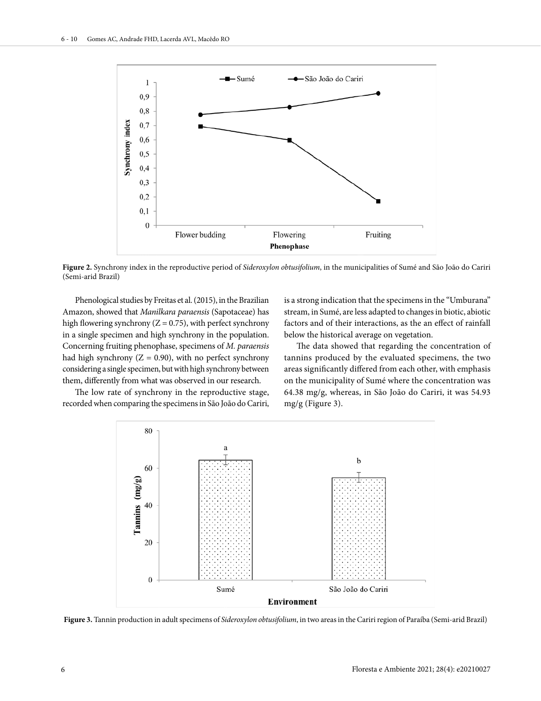

**Figure 2.** Synchrony index in the reproductive period of *Sideroxylon obtusifolium*, in the municipalities of Sumé and São João do Cariri (Semi-arid Brazil)

Phenological studies by Freitas et al. (2015), in the Brazilian Amazon, showed that *Manilkara paraensis* (Sapotaceae) has high flowering synchrony ( $Z = 0.75$ ), with perfect synchrony in a single specimen and high synchrony in the population. Concerning fruiting phenophase, specimens of *M. paraensis* had high synchrony ( $Z = 0.90$ ), with no perfect synchrony considering a single specimen, but with high synchrony between them, differently from what was observed in our research.

The low rate of synchrony in the reproductive stage, recorded when comparing the specimens in São João do Cariri,

is a strong indication that the specimens in the "Umburana" stream, in Sumé, are less adapted to changes in biotic, abiotic factors and of their interactions, as the an effect of rainfall below the historical average on vegetation.

The data showed that regarding the concentration of tannins produced by the evaluated specimens, the two areas significantly differed from each other, with emphasis on the municipality of Sumé where the concentration was 64.38 mg/g, whereas, in São João do Cariri, it was 54.93 mg/g (Figure 3).



**Figure 3.** Tannin production in adult specimens of *Sideroxylon obtusifolium*, in two areas in the Cariri region of Paraíba (Semi-arid Brazil)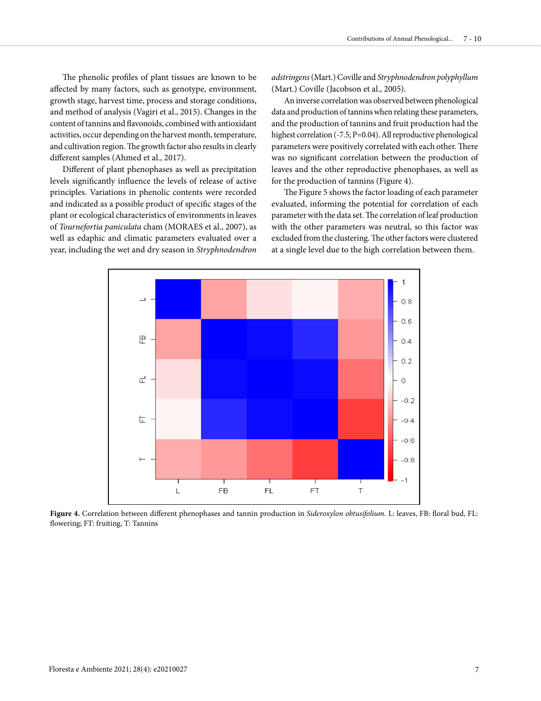The phenolic profiles of plant tissues are known to be affected by many factors, such as genotype, environment, growth stage, harvest time, process and storage conditions, and method of analysis (Vagiri et al., 2015). Changes in the content of tannins and flavonoids, combined with antioxidant activities, occur depending on the harvest month, temperature, and cultivation region. The growth factor also results in clearly different samples (Ahmed et al., 2017).

Different of plant phenophases as well as precipitation levels significantly influence the levels of release of active principles. Variations in phenolic contents were recorded and indicated as a possible product of specific stages of the plant or ecological characteristics of environments in leaves of *Tournefortia paniculata* cham (MORAES et al., 2007), as well as edaphic and climatic parameters evaluated over a year, including the wet and dry season in *Stryphnodendron* 

*adstringens* (Mart.) Coville and *Stryphnodendron polyphyllum* (Mart.) Coville (Jacobson et al., 2005).

An inverse correlation was observed between phenological data and production of tannins when relating these parameters, and the production of tannins and fruit production had the highest correlation (-7.5; P=0.04). All reproductive phenological parameters were positively correlated with each other. There was no significant correlation between the production of leaves and the other reproductive phenophases, as well as for the production of tannins (Figure 4).

The Figure 5 shows the factor loading of each parameter evaluated, informing the potential for correlation of each parameter with the data set. The correlation of leaf production with the other parameters was neutral, so this factor was excluded from the clustering. The other factors were clustered at a single level due to the high correlation between them.



**Figure 4.** Correlation between different phenophases and tannin production in *Sideroxylon obtusifolium.* L: leaves, FB: floral bud, FL: flowering; FT: fruiting, T: Tannins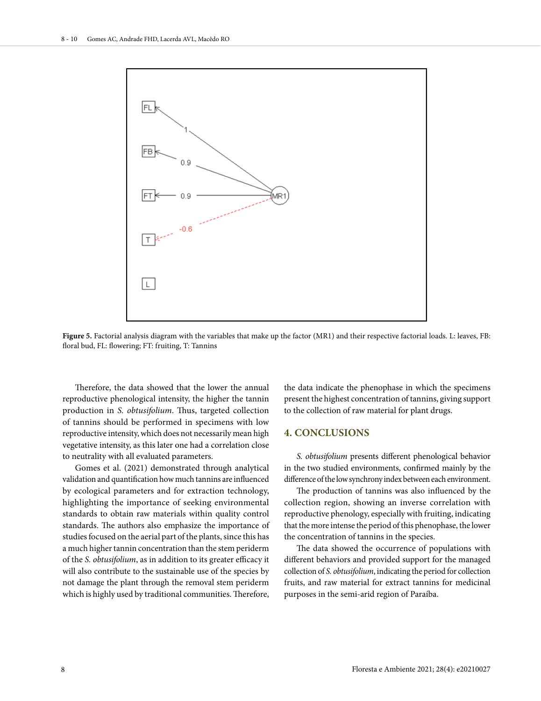

**Figure 5.** Factorial analysis diagram with the variables that make up the factor (MR1) and their respective factorial loads. L: leaves, FB: floral bud, FL: flowering; FT: fruiting, T: Tannins

Therefore, the data showed that the lower the annual reproductive phenological intensity, the higher the tannin production in *S. obtusifolium*. Thus, targeted collection of tannins should be performed in specimens with low reproductive intensity, which does not necessarily mean high vegetative intensity, as this later one had a correlation close to neutrality with all evaluated parameters.

Gomes et al. (2021) demonstrated through analytical validation and quantification how much tannins are influenced by ecological parameters and for extraction technology, highlighting the importance of seeking environmental standards to obtain raw materials within quality control standards. The authors also emphasize the importance of studies focused on the aerial part of the plants, since this has a much higher tannin concentration than the stem periderm of the *S. obtusifolium*, as in addition to its greater efficacy it will also contribute to the sustainable use of the species by not damage the plant through the removal stem periderm which is highly used by traditional communities. Therefore,

the data indicate the phenophase in which the specimens present the highest concentration of tannins, giving support to the collection of raw material for plant drugs.

# **4. CONCLUSIONS**

*S. obtusifolium* presents different phenological behavior in the two studied environments, confirmed mainly by the difference of the low synchrony index between each environment.

The production of tannins was also influenced by the collection region, showing an inverse correlation with reproductive phenology, especially with fruiting, indicating that the more intense the period of this phenophase, the lower the concentration of tannins in the species.

The data showed the occurrence of populations with different behaviors and provided support for the managed collection of *S. obtusifolium*, indicating the period for collection fruits, and raw material for extract tannins for medicinal purposes in the semi-arid region of Paraíba.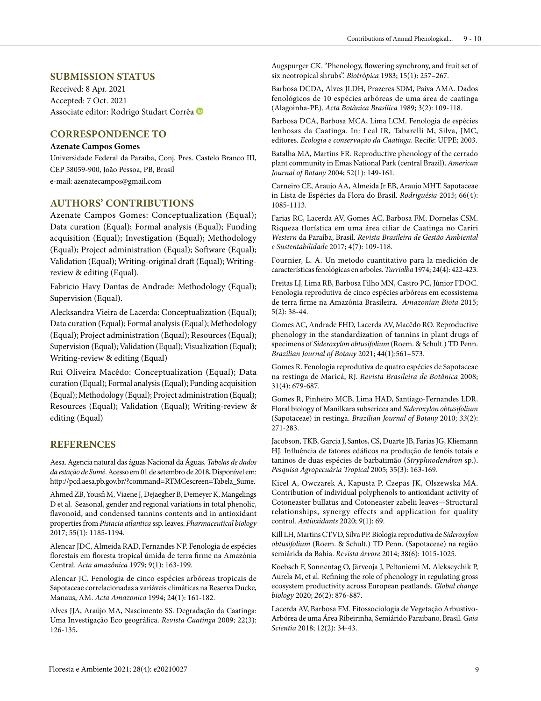# **SUBMISSION STATUS**

Received: 8 Apr. 2021 Accepted: 7 Oct. 2021 Associate editor: Rodrigo Studart Corrêa

# **CORRESPONDENCE TO**

#### **Azenate Campos Gomes**

Universidade Federal da Paraíba, Conj. Pres. Castelo Branco III, CEP 58059-900, João Pessoa, PB, Brasil e-mail: azenatecampos@gmail.com

# **AUTHORS' CONTRIBUTIONS**

Azenate Campos Gomes: Conceptualization (Equal); Data curation (Equal); Formal analysis (Equal); Funding acquisition (Equal); Investigation (Equal); Methodology (Equal); Project administration (Equal); Software (Equal); Validation (Equal); Writing-original draft (Equal); Writingreview & editing (Equal).

Fabricio Havy Dantas de Andrade: Methodology (Equal); Supervision (Equal).

Alecksandra Vieira de Lacerda: Conceptualization (Equal); Data curation (Equal); Formal analysis (Equal); Methodology (Equal); Project administration (Equal); Resources (Equal); Supervision (Equal); Validation (Equal); Visualization (Equal); Writing-review & editing (Equal)

Rui Oliveira Macêdo: Conceptualization (Equal); Data curation (Equal); Formal analysis (Equal); Funding acquisition (Equal); Methodology (Equal); Project administration (Equal); Resources (Equal); Validation (Equal); Writing-review & editing (Equal)

## **REFERENCES**

Aesa. Agencia natural das águas Nacional da Águas. *Tabelas de dados da estação de Sumé*. Acesso em 01 de setembro de 2018**.** Disponível em: http://pcd.aesa.pb.gov.br/?command=RTMCescreen=Tabela\_Sume.

Ahmed ZB, Yousfi M, Viaene J, Dejaegher B, Demeyer K, Mangelings D et al. Seasonal, gender and regional variations in total phenolic, flavonoid, and condensed tannins contents and in antioxidant properties from *Pistacia atlantica* ssp. leaves. *Pharmaceutical biology* 2017; 55(1): 1185-1194.

Alencar JDC, Almeida RAD, Fernandes NP. Fenologia de espécies florestais em floresta tropical úmida de terra firme na Amazônia Central. *Acta amazônica* 1979; 9(1): 163-199.

Alencar JC. Fenologia de cinco espécies arbóreas tropicais de Sapotaceae correlacionadas a variáveis climáticas na Reserva Ducke, Manaus, AM. *Acta Amazonica* 1994; 24(1): 161-182.

Alves JJA, Araújo MA, Nascimento SS. Degradação da Caatinga: Uma Investigação Eco geográfica. *Revista Caatinga* 2009; 22(3): 126-135**.** 

Augspurger CK. "Phenology, flowering synchrony, and fruit set of six neotropical shrubs". *Biotr*ó*pica* 1983; 15(1): 257–267.

Barbosa DCDA, Alves JLDH, Prazeres SDM, Paiva AMA. Dados fenológicos de 10 espécies arbóreas de uma área de caatinga (Alagoinha-PE). *Acta Botânica Brasílica* 1989; 3(2): 109-118.

Barbosa DCA, Barbosa MCA, Lima LCM. Fenologia de espécies lenhosas da Caatinga. In: Leal IR, Tabarelli M, Silva, JMC, editores. *Ecologia e conservação da Caatinga*. Recife: UFPE; 2003.

Batalha MA, Martins FR. Reproductive phenology of the cerrado plant community in Emas National Park (central Brazil). *American Journal of Botany* 2004; 52(1): 149-161.

Carneiro CE, Araujo AA, Almeida Jr EB, Araujo MHT. Sapotaceae in Lista de Espécies da Flora do Brasil. *Rodriguésia* 2015; 66(4): 1085-1113.

Farias RC, Lacerda AV, Gomes AC, Barbosa FM, Dornelas CSM. Riqueza florística em uma área ciliar de Caatinga no Cariri *Western* da Paraíba, Brasil. *Revista Brasileira de Gestão Ambiental e Sustentabilidade* 2017; 4(7): 109-118.

Fournier, L. A. Un metodo cuantitativo para la medición de características fenológicas en arboles. *Turrialba* 1974; 24(4): 422-423.

Freitas LJ, Lima RB, Barbosa Filho MN, Castro PC, Júnior FDOC. Fenologia reprodutiva de cinco espécies arbóreas em ecossistema de terra firme na Amazônia Brasileira. *Amazonian Biota* 2015; 5(2): 38-44.

Gomes AC, Andrade FHD, Lacerda AV, Macêdo RO. Reproductive phenology in the standardization of tannins in plant drugs of specimens of *Sideroxylon obtusifolium* (Roem. & Schult.) TD Penn. *Brazilian Journal of Botany* 2021; 44(1):561–573.

Gomes R. Fenologia reprodutiva de quatro espécies de Sapotaceae na restinga de Maricá, RJ. *Revista Brasileira de Botânica* 2008; 31(4): 679-687.

Gomes R, Pinheiro MCB, Lima HAD, Santiago-Fernandes LDR. Floral biology of Manilkara subsericea and *Sideroxylon obtusifolium* (Sapotaceae) in restinga. *Brazilian Journal of Botany* 2010; *33*(2): 271-283.

Jacobson, TKB, Garcia J, Santos, CS, Duarte JB, Farias JG, Kliemann HJ. Influência de fatores edáficos na produção de fenóis totais e taninos de duas espécies de barbatimão (*Stryphnodendron* sp.). *Pesquisa Agropecuária Tropical* 2005; 35(3): 163-169.

Kicel A, Owczarek A, Kapusta P, Czepas JK, Olszewska MA. Contribution of individual polyphenols to antioxidant activity of Cotoneaster bullatus and Cotoneaster zabelii leaves—Structural relationships, synergy effects and application for quality control. *Antioxidants* 2020; *9*(1): 69.

Kill LH, Martins CTVD, Silva PP. Biologia reprodutiva de *Sideroxylon obtusifolium* (Roem. & Schult.) TD Penn. (Sapotaceae) na região semiárida da Bahia. *Revista árvore* 2014; 38(6): 1015-1025.

Koebsch F, Sonnentag O, Järveoja J, Peltoniemi M, Alekseychik P, Aurela M, et al. Refining the role of phenology in regulating gross ecosystem productivity across European peatlands. *Global change biology* 2020; *26*(2): 876-887.

Lacerda AV, Barbosa FM. Fitossociologia de Vegetação Arbustivo-Arbórea de uma Área Ribeirinha, Semiárido Paraibano, Brasil. *Gaia Scientia* 2018; 12(2): 34-43.